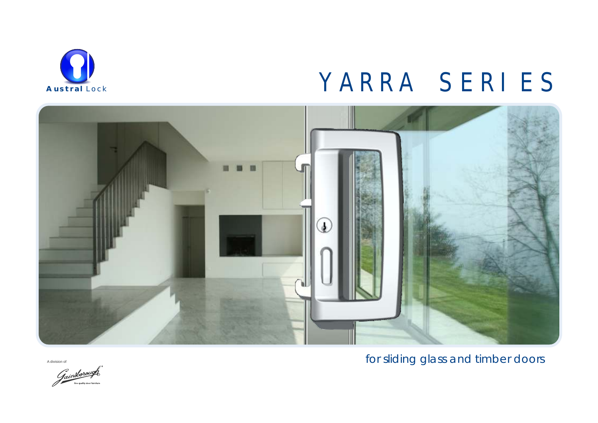

### YARRA SERIES



A division of

for sliding glass and timber doors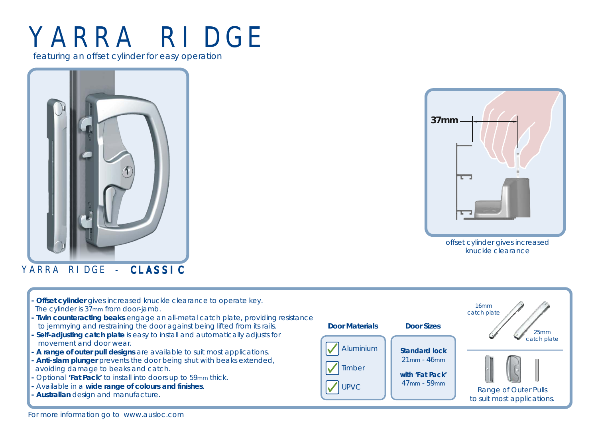## YARRA RIDGE

featuring an offset cylinder for easy operation



YARRA RIDGE - CLASSIC

**37mm**  $\overline{1}$ 

> offset cylinder gives increased knuckle clearance

Offset cylinder gives increased knuckle clearance to operate key. The cylinder is 37<sub>mm</sub> from door-jamb.  **- Twin counteracting beaks** engage an all-metal catch plate, providing resistance to jemmying and restraining the door against being lifted from its rails.  **- Self-adjusting catch plate** is easy to install and automatically adjusts for movement and door wear.  **- A range of outer pull designs** are available to suit most applications.  **- Anti-slam plunger** prevents the door being shut with beaks extended, avoiding damage to beaks and catch.  **-** Optional **'Fat Pack'** to install into doors up to 59mm thick.  **-** Available in a **wide range of colours and finishes**.  **- Australian** design and manufacture. 16mm catch plate 25mm catch plate Aluminium Timber UPVC  $\left|\right|^{4/\text{mm} - 59 \text{mm}}$  Range of Outer Pulls to suit most applications. **Door Materials Door Sizes Standard lock** 21mm - 46mm **with 'Fat Pack'**  47mm - 59mm

### For more information go to www.ausloc.com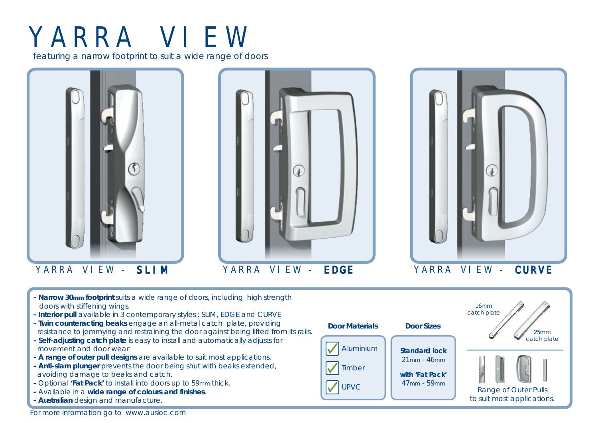# YARRA VIEW

featuring a narrow footprint to suit a wide range of doors







YARRA VIEW - SLIM YARRA VIEW - EDGE YARRA VIEW - CURVE

- **Narrow 30mm footprint** suits a wide range of doors, including high strength doors with stiffening wings.
- **Interior pull** available in 3 contemporary styles : *SLIM, EDGE* and *CURVE*
- **Twin counteracting beaks** engage an all-metal catch plate, providing resistance to jemmying and restraining the door against being lifted from its rails.
- **Self-adjusting catch plate** is easy to install and automatically adjusts for movement and door wear.
- **A range of outer pull designs** are available to suit most applications.
- **Anti-slam plunger** prevents the door being shut with beaks extended, avoiding damage to beaks and catch.
- **-** Optional **'Fat Pack'** to install into doors up to 59mm thick.
- Available in a **wide range of colours and finishes**.
- **Australian** design and manufacture.



16mm catch plate 25mm catch plate to suit most applications.

For more information go to www.ausloc.com